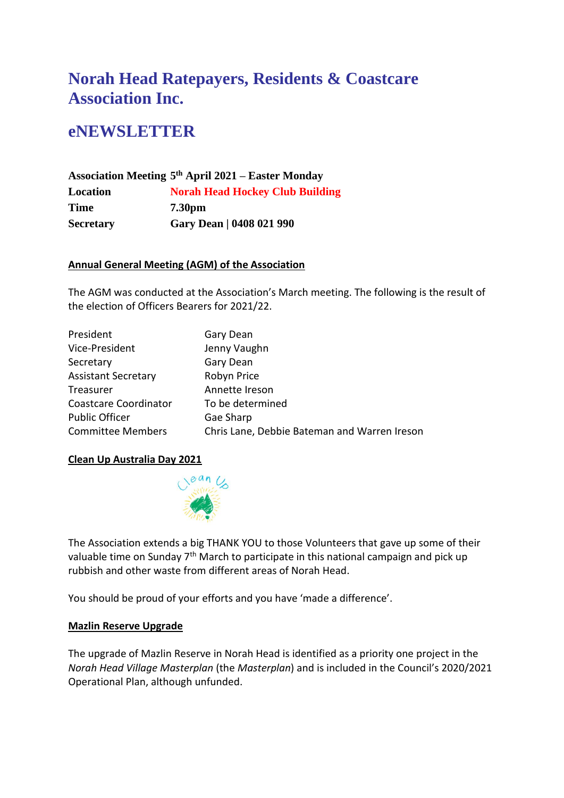# **Norah Head Ratepayers, Residents & Coastcare Association Inc.**

## **eNEWSLETTER**

|                  | Association Meeting 5th April 2021 – Easter Monday |
|------------------|----------------------------------------------------|
| Location         | <b>Norah Head Hockey Club Building</b>             |
| <b>Time</b>      | 7.30 <sub>pm</sub>                                 |
| <b>Secretary</b> | Gary Dean   0408 021 990                           |

### **Annual General Meeting (AGM) of the Association**

The AGM was conducted at the Association's March meeting. The following is the result of the election of Officers Bearers for 2021/22.

| President                  | Gary Dean                                    |
|----------------------------|----------------------------------------------|
| Vice-President             | Jenny Vaughn                                 |
| Secretary                  | Gary Dean                                    |
| <b>Assistant Secretary</b> | Robyn Price                                  |
| Treasurer                  | Annette Ireson                               |
| Coastcare Coordinator      | To be determined                             |
| <b>Public Officer</b>      | Gae Sharp                                    |
| <b>Committee Members</b>   | Chris Lane, Debbie Bateman and Warren Ireson |

## **Clean Up Australia Day 2021**



The Association extends a big THANK YOU to those Volunteers that gave up some of their valuable time on Sunday 7<sup>th</sup> March to participate in this national campaign and pick up rubbish and other waste from different areas of Norah Head.

You should be proud of your efforts and you have 'made a difference'.

#### **Mazlin Reserve Upgrade**

The upgrade of Mazlin Reserve in Norah Head is identified as a priority one project in the *Norah Head Village Masterplan* (the *Masterplan*) and is included in the Council's 2020/2021 Operational Plan, although unfunded.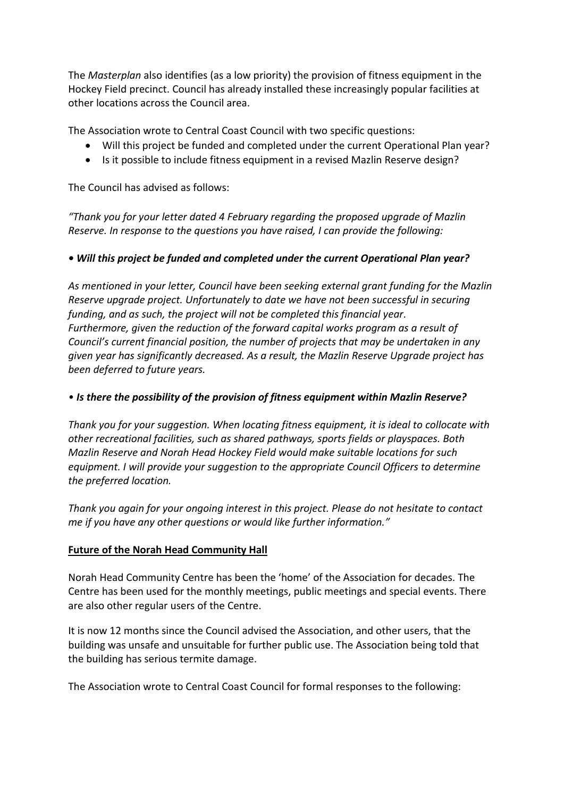The *Masterplan* also identifies (as a low priority) the provision of fitness equipment in the Hockey Field precinct. Council has already installed these increasingly popular facilities at other locations across the Council area.

The Association wrote to Central Coast Council with two specific questions:

- Will this project be funded and completed under the current Operational Plan year?
- Is it possible to include fitness equipment in a revised Mazlin Reserve design?

The Council has advised as follows:

*"Thank you for your letter dated 4 February regarding the proposed upgrade of Mazlin Reserve. In response to the questions you have raised, I can provide the following:* 

## *• Will this project be funded and completed under the current Operational Plan year?*

*As mentioned in your letter, Council have been seeking external grant funding for the Mazlin Reserve upgrade project. Unfortunately to date we have not been successful in securing funding, and as such, the project will not be completed this financial year. Furthermore, given the reduction of the forward capital works program as a result of Council's current financial position, the number of projects that may be undertaken in any given year has significantly decreased. As a result, the Mazlin Reserve Upgrade project has been deferred to future years.* 

## *• Is there the possibility of the provision of fitness equipment within Mazlin Reserve?*

*Thank you for your suggestion. When locating fitness equipment, it is ideal to collocate with other recreational facilities, such as shared pathways, sports fields or playspaces. Both Mazlin Reserve and Norah Head Hockey Field would make suitable locations for such equipment. I will provide your suggestion to the appropriate Council Officers to determine the preferred location.* 

*Thank you again for your ongoing interest in this project. Please do not hesitate to contact me if you have any other questions or would like further information."*

## **Future of the Norah Head Community Hall**

Norah Head Community Centre has been the 'home' of the Association for decades. The Centre has been used for the monthly meetings, public meetings and special events. There are also other regular users of the Centre.

It is now 12 months since the Council advised the Association, and other users, that the building was unsafe and unsuitable for further public use. The Association being told that the building has serious termite damage.

The Association wrote to Central Coast Council for formal responses to the following: